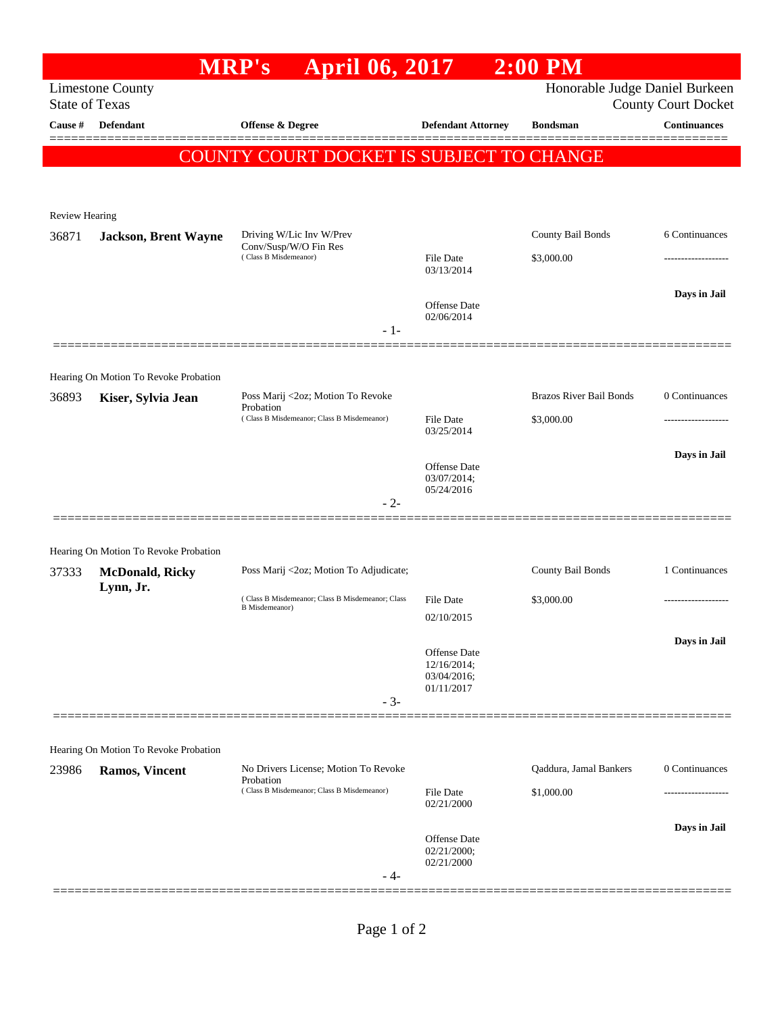|                                                                                                                  |                                                                 | <b>MRP's</b>                                   | April 06, 2017                                   |                                                          | $2:00$ PM                       |                     |
|------------------------------------------------------------------------------------------------------------------|-----------------------------------------------------------------|------------------------------------------------|--------------------------------------------------|----------------------------------------------------------|---------------------------------|---------------------|
| Honorable Judge Daniel Burkeen<br><b>Limestone County</b><br><b>State of Texas</b><br><b>County Court Docket</b> |                                                                 |                                                |                                                  |                                                          |                                 |                     |
| Cause #                                                                                                          | <b>Defendant</b>                                                | <b>Offense &amp; Degree</b>                    |                                                  | <b>Defendant Attorney</b>                                | <b>Bondsman</b>                 | Continuances        |
| COUNTY COURT DOCKET IS SUBJECT TO CHANGE                                                                         |                                                                 |                                                |                                                  |                                                          |                                 |                     |
|                                                                                                                  |                                                                 |                                                |                                                  |                                                          |                                 |                     |
| <b>Review Hearing</b>                                                                                            |                                                                 |                                                |                                                  |                                                          |                                 |                     |
| 36871                                                                                                            | <b>Jackson, Brent Wayne</b>                                     | Conv/Susp/W/O Fin Res<br>(Class B Misdemeanor) | Driving W/Lic Inv W/Prev                         |                                                          | County Bail Bonds<br>\$3,000.00 | 6 Continuances      |
|                                                                                                                  |                                                                 |                                                |                                                  | File Date<br>03/13/2014                                  |                                 |                     |
|                                                                                                                  |                                                                 |                                                |                                                  | <b>Offense</b> Date<br>02/06/2014                        |                                 | Days in Jail        |
|                                                                                                                  |                                                                 |                                                | $-1-$                                            |                                                          |                                 |                     |
|                                                                                                                  |                                                                 |                                                |                                                  |                                                          |                                 |                     |
| 36893                                                                                                            | Hearing On Motion To Revoke Probation<br>Kiser, Sylvia Jean     |                                                | Poss Marij <2oz; Motion To Revoke                |                                                          | <b>Brazos River Bail Bonds</b>  | 0 Continuances      |
|                                                                                                                  |                                                                 | Probation                                      | (Class B Misdemeanor; Class B Misdemeanor)       | File Date                                                | \$3,000.00                      |                     |
|                                                                                                                  |                                                                 |                                                |                                                  | 03/25/2014                                               |                                 |                     |
|                                                                                                                  |                                                                 |                                                |                                                  | <b>Offense</b> Date                                      |                                 | Days in Jail        |
|                                                                                                                  |                                                                 |                                                |                                                  | 03/07/2014;<br>05/24/2016                                |                                 |                     |
|                                                                                                                  |                                                                 |                                                | $-2-$                                            |                                                          |                                 |                     |
|                                                                                                                  |                                                                 |                                                |                                                  |                                                          |                                 |                     |
| 37333                                                                                                            | Hearing On Motion To Revoke Probation<br><b>McDonald, Ricky</b> |                                                | Poss Marij <2oz; Motion To Adjudicate;           |                                                          | County Bail Bonds               | 1 Continuances      |
|                                                                                                                  | Lynn, Jr.                                                       |                                                | (Class B Misdemeanor; Class B Misdemeanor; Class | <b>File Date</b>                                         | \$3,000.00                      | ------------------- |
|                                                                                                                  |                                                                 | <b>B</b> Misdemeanor)                          |                                                  | 02/10/2015                                               |                                 |                     |
|                                                                                                                  |                                                                 |                                                |                                                  |                                                          |                                 | Days in Jail        |
|                                                                                                                  |                                                                 |                                                |                                                  | Offense Date<br>12/16/2014;<br>03/04/2016;<br>01/11/2017 |                                 |                     |
|                                                                                                                  |                                                                 |                                                | $-3-$                                            |                                                          |                                 |                     |
|                                                                                                                  |                                                                 |                                                |                                                  |                                                          |                                 |                     |
|                                                                                                                  | Hearing On Motion To Revoke Probation                           |                                                |                                                  |                                                          |                                 |                     |
| 23986                                                                                                            | <b>Ramos, Vincent</b>                                           | Probation                                      | No Drivers License; Motion To Revoke             |                                                          | Qaddura, Jamal Bankers          | 0 Continuances      |
|                                                                                                                  |                                                                 |                                                | (Class B Misdemeanor; Class B Misdemeanor)       | <b>File Date</b><br>02/21/2000                           | \$1,000.00                      |                     |
|                                                                                                                  |                                                                 |                                                |                                                  |                                                          |                                 | Days in Jail        |
|                                                                                                                  |                                                                 |                                                |                                                  | Offense Date<br>02/21/2000;<br>02/21/2000                |                                 |                     |
|                                                                                                                  |                                                                 |                                                | - 4-                                             |                                                          |                                 |                     |
|                                                                                                                  |                                                                 |                                                |                                                  |                                                          |                                 |                     |